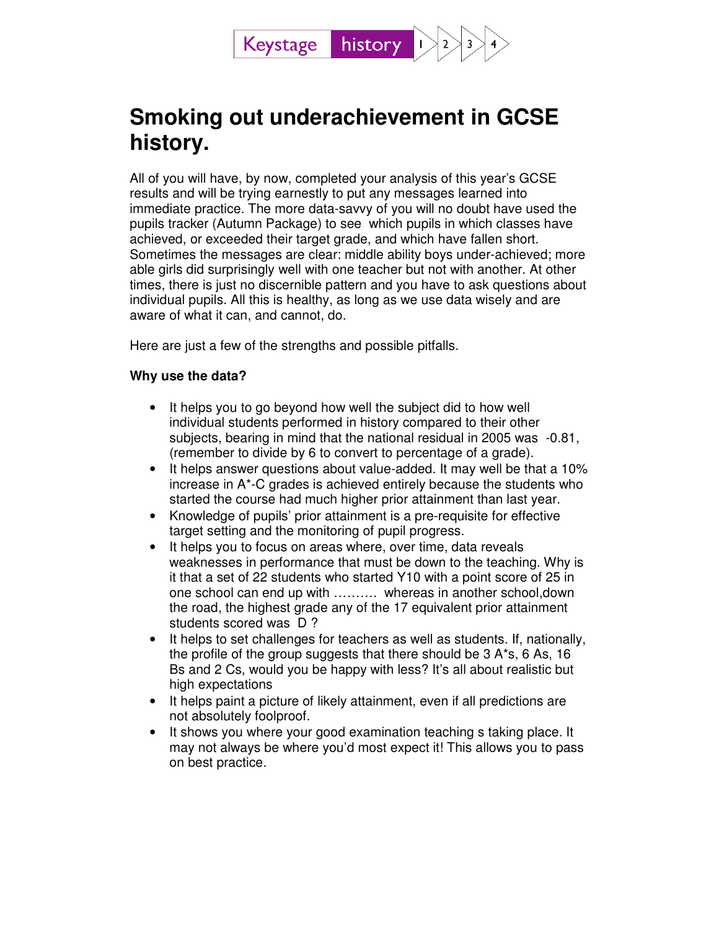

# **Smoking out underachievement in GCSE history.**

All of you will have, by now, completed your analysis of this year's GCSE results and will be trying earnestly to put any messages learned into immediate practice. The more data-savvy of you will no doubt have used the pupils tracker (Autumn Package) to see which pupils in which classes have achieved, or exceeded their target grade, and which have fallen short. Sometimes the messages are clear: middle ability boys under-achieved; more able girls did surprisingly well with one teacher but not with another. At other times, there is just no discernible pattern and you have to ask questions about individual pupils. All this is healthy, as long as we use data wisely and are aware of what it can, and cannot, do.

Here are just a few of the strengths and possible pitfalls.

### **Why use the data?**

- It helps you to go beyond how well the subject did to how well individual students performed in history compared to their other subjects, bearing in mind that the national residual in 2005 was -0.81, (remember to divide by 6 to convert to percentage of a grade).
- It helps answer questions about value-added. It may well be that a 10% increase in A\*-C grades is achieved entirely because the students who started the course had much higher prior attainment than last year.
- Knowledge of pupils' prior attainment is a pre-requisite for effective target setting and the monitoring of pupil progress.
- It helps you to focus on areas where, over time, data reveals weaknesses in performance that must be down to the teaching. Why is it that a set of 22 students who started Y10 with a point score of 25 in one school can end up with ………. whereas in another school,down the road, the highest grade any of the 17 equivalent prior attainment students scored was D?
- It helps to set challenges for teachers as well as students. If, nationally, the profile of the group suggests that there should be 3 A\*s, 6 As, 16 Bs and 2 Cs, would you be happy with less? It's all about realistic but high expectations
- It helps paint a picture of likely attainment, even if all predictions are not absolutely foolproof.
- It shows you where your good examination teaching s taking place. It may not always be where you'd most expect it! This allows you to pass on best practice.